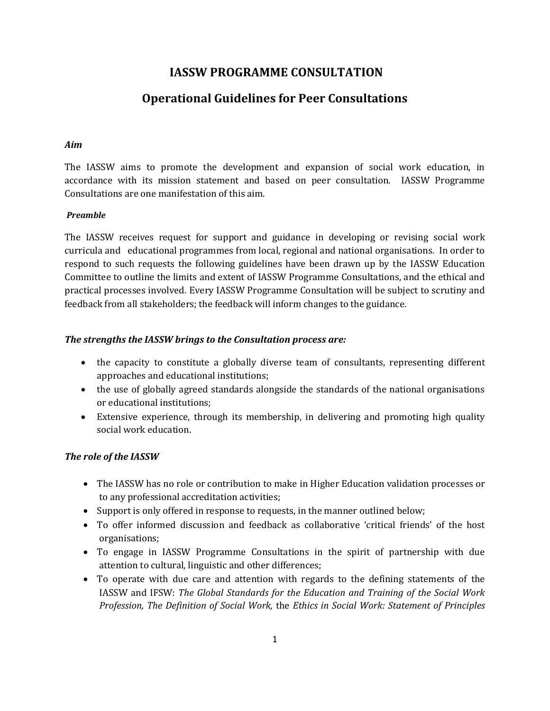## **IASSW PROGRAMME CONSULTATION**

# **Operational Guidelines for Peer Consultations**

#### *Aim*

The IASSW aims to promote the development and expansion of social work education, in accordance with its mission statement and based on peer consultation. IASSW Programme Consultations are one manifestation of this aim.

#### *Preamble*

The IASSW receives request for support and guidance in developing or revising social work curricula and educational programmes from local, regional and national organisations. In order to respond to such requests the following guidelines have been drawn up by the IASSW Education Committee to outline the limits and extent of IASSW Programme Consultations, and the ethical and practical processes involved. Every IASSW Programme Consultation will be subject to scrutiny and feedback from all stakeholders; the feedback will inform changes to the guidance.

#### *The strengths the IASSW brings to the Consultation process are:*

- the capacity to constitute a globally diverse team of consultants, representing different approaches and educational institutions;
- the use of globally agreed standards alongside the standards of the national organisations or educational institutions;
- Extensive experience, through its membership, in delivering and promoting high quality social work education.

## *The role of the IASSW*

- The IASSW has no role or contribution to make in Higher Education validation processes or to any professional accreditation activities;
- Support is only offered in response to requests, in the manner outlined below;
- To offer informed discussion and feedback as collaborative 'critical friends' of the host organisations;
- To engage in IASSW Programme Consultations in the spirit of partnership with due attention to cultural, linguistic and other differences;
- To operate with due care and attention with regards to the defining statements of the IASSW and IFSW: *The Global Standards for the Education and Training of the Social Work Profession, The Definition of Social Work,* the *Ethics in Social Work: Statement of Principles*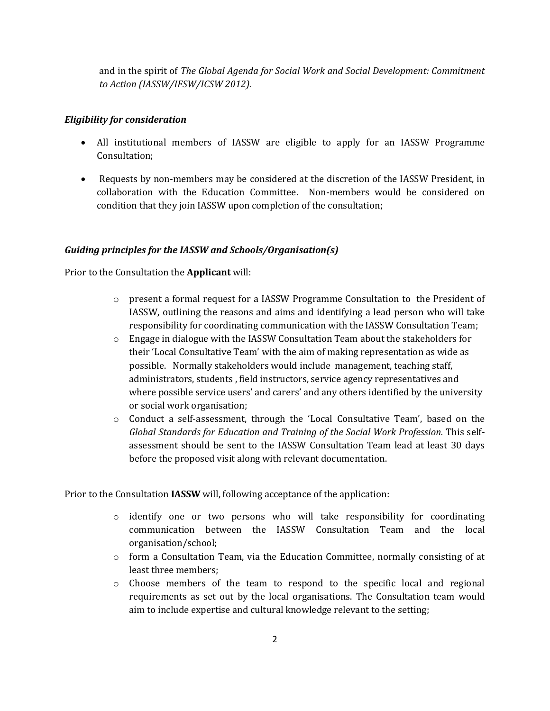and in the spirit of *The Global Agenda for Social Work and Social Development: Commitment to Action (IASSW/IFSW/ICSW 2012).*

#### *Eligibility for consideration*

- All institutional members of IASSW are eligible to apply for an IASSW Programme Consultation;
- Requests by non-members may be considered at the discretion of the IASSW President, in collaboration with the Education Committee. Non-members would be considered on condition that they join IASSW upon completion of the consultation;

## *Guiding principles for the IASSW and Schools/Organisation(s)*

Prior to the Consultation the **Applicant** will:

- o present a formal request for a IASSW Programme Consultation to the President of IASSW, outlining the reasons and aims and identifying a lead person who will take responsibility for coordinating communication with the IASSW Consultation Team;
- $\circ$  Engage in dialogue with the IASSW Consultation Team about the stakeholders for their 'Local Consultative Team' with the aim of making representation as wide as possible. Normally stakeholders would include management, teaching staff, administrators, students , field instructors, service agency representatives and where possible service users' and carers' and any others identified by the university or social work organisation;
- $\circ$  Conduct a self-assessment, through the 'Local Consultative Team', based on the *Global Standards for Education and Training of the Social Work Profession.* This selfassessment should be sent to the IASSW Consultation Team lead at least 30 days before the proposed visit along with relevant documentation.

Prior to the Consultation **IASSW** will, following acceptance of the application:

- o identify one or two persons who will take responsibility for coordinating communication between the IASSW Consultation Team and the local organisation/school;
- $\circ$  form a Consultation Team, via the Education Committee, normally consisting of at least three members;
- $\circ$  Choose members of the team to respond to the specific local and regional requirements as set out by the local organisations. The Consultation team would aim to include expertise and cultural knowledge relevant to the setting;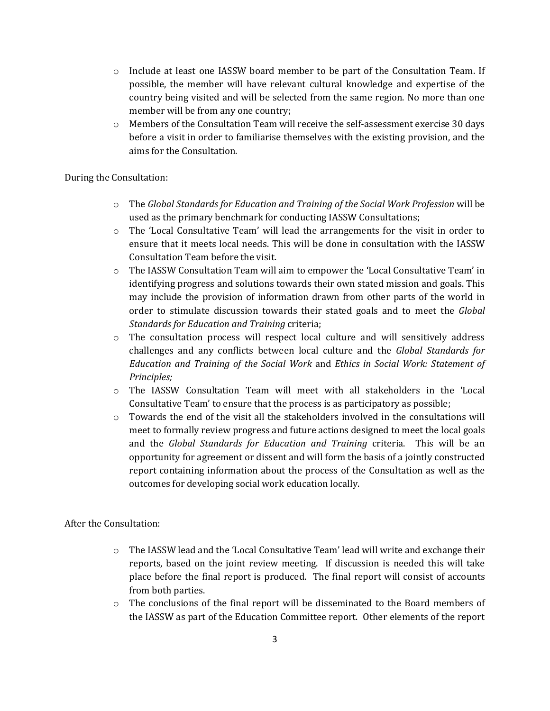- o Include at least one IASSW board member to be part of the Consultation Team. If possible, the member will have relevant cultural knowledge and expertise of the country being visited and will be selected from the same region. No more than one member will be from any one country;
- o Members of the Consultation Team will receive the self-assessment exercise 30 days before a visit in order to familiarise themselves with the existing provision, and the aims for the Consultation.

#### During the Consultation:

- o The *Global Standards for Education and Training of the Social Work Profession* will be used as the primary benchmark for conducting IASSW Consultations;
- o The 'Local Consultative Team' will lead the arrangements for the visit in order to ensure that it meets local needs. This will be done in consultation with the IASSW Consultation Team before the visit.
- o The IASSW Consultation Team will aim to empower the 'Local Consultative Team' in identifying progress and solutions towards their own stated mission and goals. This may include the provision of information drawn from other parts of the world in order to stimulate discussion towards their stated goals and to meet the *Global Standards for Education and Training* criteria;
- $\circ$  The consultation process will respect local culture and will sensitively address challenges and any conflicts between local culture and the *Global Standards for Education and Training of the Social Work* and *Ethics in Social Work: Statement of Principles;*
- o The IASSW Consultation Team will meet with all stakeholders in the 'Local Consultative Team' to ensure that the process is as participatory as possible;
- $\circ$  Towards the end of the visit all the stakeholders involved in the consultations will meet to formally review progress and future actions designed to meet the local goals and the *Global Standards for Education and Training* criteria. This will be an opportunity for agreement or dissent and will form the basis of a jointly constructed report containing information about the process of the Consultation as well as the outcomes for developing social work education locally.

After the Consultation:

- $\circ$  The IASSW lead and the 'Local Consultative Team' lead will write and exchange their reports, based on the joint review meeting. If discussion is needed this will take place before the final report is produced. The final report will consist of accounts from both parties.
- $\circ$  The conclusions of the final report will be disseminated to the Board members of the IASSW as part of the Education Committee report. Other elements of the report